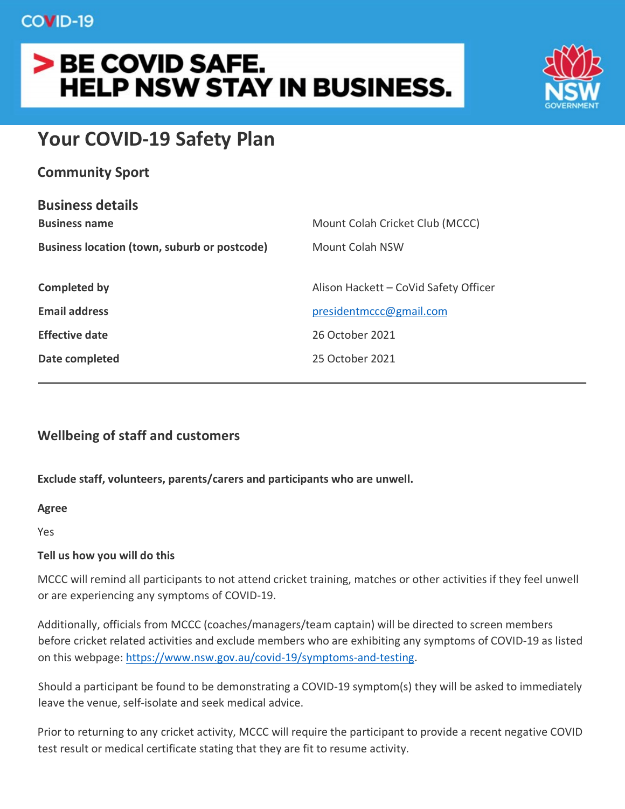# > BE COVID SAFE. **HELP NSW STAY IN BUSINESS.**



## **Your COVID-19 Safety Plan**

| <b>Community Sport</b> |  |  |
|------------------------|--|--|
|------------------------|--|--|

| <b>Business details</b>                      |                                       |  |
|----------------------------------------------|---------------------------------------|--|
| <b>Business name</b>                         | Mount Colah Cricket Club (MCCC)       |  |
| Business location (town, suburb or postcode) | <b>Mount Colah NSW</b>                |  |
|                                              |                                       |  |
| Completed by                                 | Alison Hackett - CoVid Safety Officer |  |
| <b>Email address</b>                         | presidentmccc@gmail.com               |  |
| <b>Effective date</b>                        | 26 October 2021                       |  |
| Date completed                               | 25 October 2021                       |  |
|                                              |                                       |  |

## **Wellbeing of staff and customers**

## **Exclude staff, volunteers, parents/carers and participants who are unwell.**

#### **Agree**

Yes

#### **Tell us how you will do this**

MCCC will remind all participants to not attend cricket training, matches or other activities if they feel unwell or are experiencing any symptoms of COVID-19.

Additionally, officials from MCCC (coaches/managers/team captain) will be directed to screen members before cricket related activities and exclude members who are exhibiting any symptoms of COVID-19 as listed on this webpage: [https://www.nsw.gov.au/covid-19/symptoms-and-testing.](https://www.nsw.gov.au/covid-19/symptoms-and-testing)

Should a participant be found to be demonstrating a COVID-19 symptom(s) they will be asked to immediately leave the venue, self-isolate and seek medical advice.

Prior to returning to any cricket activity, MCCC will require the participant to provide a recent negative COVID test result or medical certificate stating that they are fit to resume activity.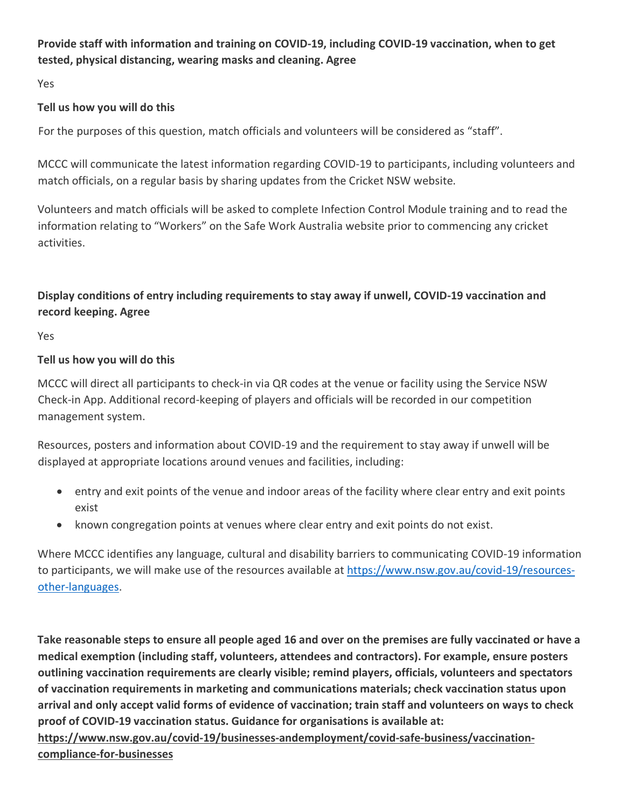## **Provide staff with information and training on COVID-19, including COVID-19 vaccination, when to get tested, physical distancing, wearing masks and cleaning. Agree**

Yes

## **Tell us how you will do this**

For the purposes of this question, match officials and volunteers will be considered as "staff".

MCCC will communicate the latest information regarding COVID-19 to participants, including volunteers and match officials, on a regular basis by sharing updates from the Cricket NSW website.

Volunteers and match officials will be asked to complete Infection Control Module training and to read the information relating to "Workers" on the Safe Work Australia website prior to commencing any cricket activities.

## **Display conditions of entry including requirements to stay away if unwell, COVID-19 vaccination and record keeping. Agree**

Yes

## **Tell us how you will do this**

MCCC will direct all participants to check-in via QR codes at the venue or facility using the Service NSW Check-in App. Additional record-keeping of players and officials will be recorded in our competition management system.

Resources, posters and information about COVID-19 and the requirement to stay away if unwell will be displayed at appropriate locations around venues and facilities, including:

- entry and exit points of the venue and indoor areas of the facility where clear entry and exit points exist
- known congregation points at venues where clear entry and exit points do not exist.

Where MCCC identifies any language, cultural and disability barriers to communicating COVID-19 information to participants, we will make use of the resources available at [https://www.nsw.gov.au/covid-19/resources](https://www.nsw.gov.au/covid-19/resources-other-languages)[other-languages.](https://www.nsw.gov.au/covid-19/resources-other-languages)

**Take reasonable steps to ensure all people aged 16 and over on the premises are fully vaccinated or have a medical exemption (including staff, volunteers, attendees and contractors). For example, ensure posters outlining vaccination requirements are clearly visible; remind players, officials, volunteers and spectators of vaccination requirements in marketing and communications materials; check vaccination status upon arrival and only accept valid forms of evidence of vaccination; train staff and volunteers on ways to check proof of COVID-19 vaccination status. Guidance for organisations is available at:** 

**[https://www.nsw.gov.au/covid-19/businesses-andemployment/covid-safe-business/vaccination](https://www.nsw.gov.au/covid-19/businesses-and-employment/covid-safe-business/vaccination-compliance-for-businesses)[compliance-for-businesses](https://www.nsw.gov.au/covid-19/businesses-and-employment/covid-safe-business/vaccination-compliance-for-businesses)**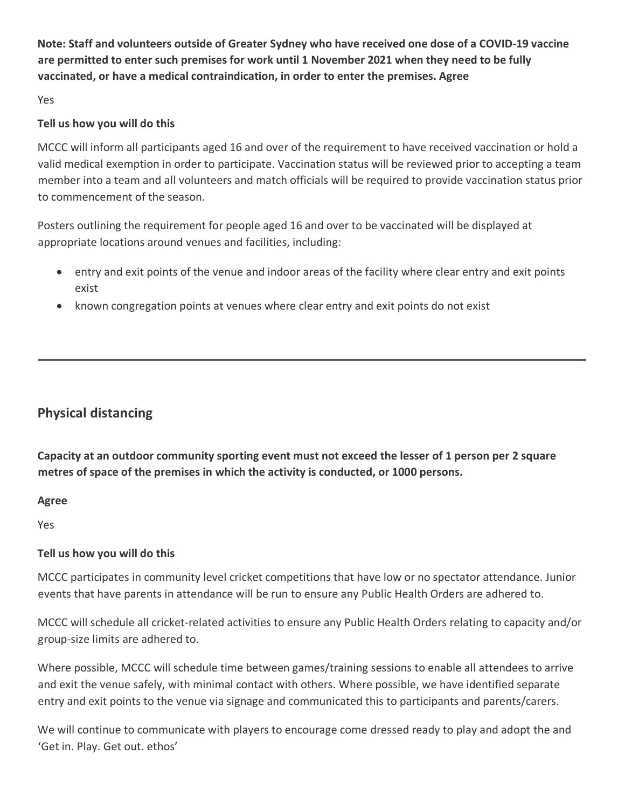**Note: Staff and volunteers outside of Greater Sydney who have received one dose of a COVID-19 vaccine are permitted to enter such premises for work until 1 November 2021 when they need to be fully vaccinated, or have a medical contraindication, in order to enter the premises. Agree**

Yes

## **Tell us how you will do this**

MCCC will inform all participants aged 16 and over of the requirement to have received vaccination or hold a valid medical exemption in order to participate. Vaccination status will be reviewed prior to accepting a team member into a team and all volunteers and match officials will be required to provide vaccination status prior to commencement of the season.

Posters outlining the requirement for people aged 16 and over to be vaccinated will be displayed at appropriate locations around venues and facilities, including:

- entry and exit points of the venue and indoor areas of the facility where clear entry and exit points exist
- known congregation points at venues where clear entry and exit points do not exist

## **Physical distancing**

**Capacity at an outdoor community sporting event must not exceed the lesser of 1 person per 2 square metres of space of the premises in which the activity is conducted, or 1000 persons.**

**Agree**

Yes

## **Tell us how you will do this**

MCCC participates in community level cricket competitions that have low or no spectator attendance. Junior events that have parents in attendance will be run to ensure any Public Health Orders are adhered to.

MCCC will schedule all cricket-related activities to ensure any Public Health Orders relating to capacity and/or group-size limits are adhered to.

Where possible, MCCC will schedule time between games/training sessions to enable all attendees to arrive and exit the venue safely, with minimal contact with others. Where possible, we have identified separate entry and exit points to the venue via signage and communicated this to participants and parents/carers.

We will continue to communicate with players to encourage come dressed ready to play and adopt the and 'Get in. Play. Get out. ethos'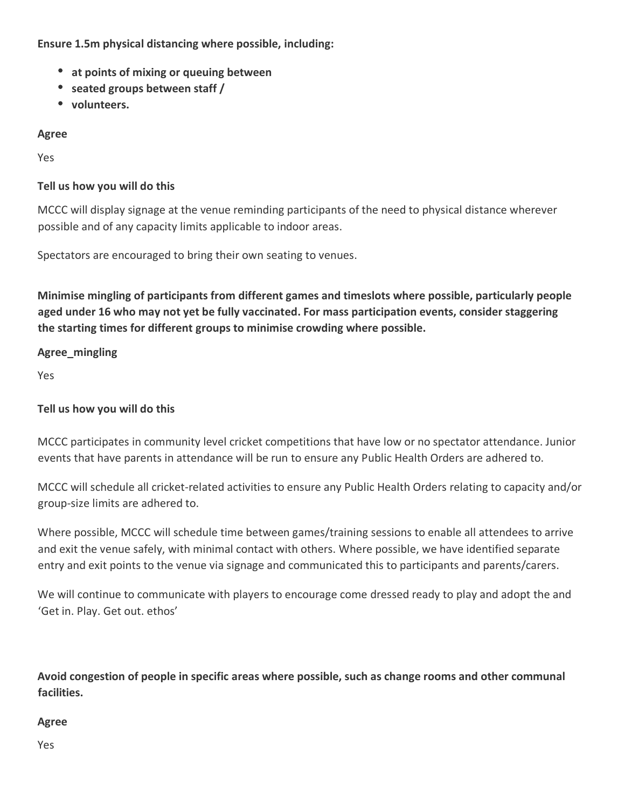**Ensure 1.5m physical distancing where possible, including:**

- **at points of mixing or queuing between**
- **seated groups between staff /**
- **volunteers.**

**Agree**

Yes

## **Tell us how you will do this**

MCCC will display signage at the venue reminding participants of the need to physical distance wherever possible and of any capacity limits applicable to indoor areas.

Spectators are encouraged to bring their own seating to venues.

**Minimise mingling of participants from different games and timeslots where possible, particularly people aged under 16 who may not yet be fully vaccinated. For mass participation events, consider staggering the starting times for different groups to minimise crowding where possible.** 

## **Agree\_mingling**

Yes

## **Tell us how you will do this**

MCCC participates in community level cricket competitions that have low or no spectator attendance. Junior events that have parents in attendance will be run to ensure any Public Health Orders are adhered to.

MCCC will schedule all cricket-related activities to ensure any Public Health Orders relating to capacity and/or group-size limits are adhered to.

Where possible, MCCC will schedule time between games/training sessions to enable all attendees to arrive and exit the venue safely, with minimal contact with others. Where possible, we have identified separate entry and exit points to the venue via signage and communicated this to participants and parents/carers.

We will continue to communicate with players to encourage come dressed ready to play and adopt the and 'Get in. Play. Get out. ethos'

**Avoid congestion of people in specific areas where possible, such as change rooms and other communal facilities.**

## **Agree**

Yes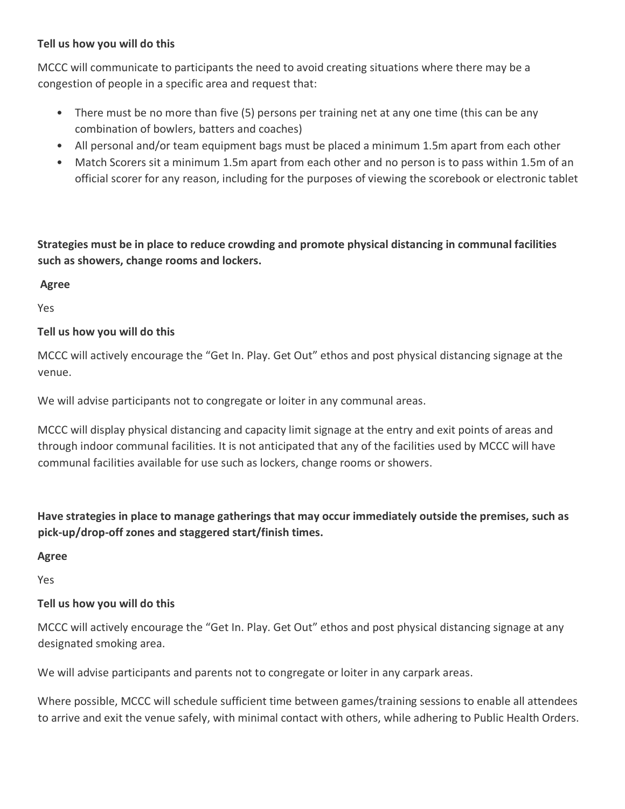MCCC will communicate to participants the need to avoid creating situations where there may be a congestion of people in a specific area and request that:

- There must be no more than five (5) persons per training net at any one time (this can be any combination of bowlers, batters and coaches)
- All personal and/or team equipment bags must be placed a minimum 1.5m apart from each other
- Match Scorers sit a minimum 1.5m apart from each other and no person is to pass within 1.5m of an official scorer for any reason, including for the purposes of viewing the scorebook or electronic tablet

**Strategies must be in place to reduce crowding and promote physical distancing in communal facilities such as showers, change rooms and lockers.**

**Agree**

Yes

## **Tell us how you will do this**

MCCC will actively encourage the "Get In. Play. Get Out" ethos and post physical distancing signage at the venue.

We will advise participants not to congregate or loiter in any communal areas.

MCCC will display physical distancing and capacity limit signage at the entry and exit points of areas and through indoor communal facilities. It is not anticipated that any of the facilities used by MCCC will have communal facilities available for use such as lockers, change rooms or showers.

**Have strategies in place to manage gatherings that may occur immediately outside the premises, such as pick-up/drop-off zones and staggered start/finish times.** 

**Agree**

Yes

## **Tell us how you will do this**

MCCC will actively encourage the "Get In. Play. Get Out" ethos and post physical distancing signage at any designated smoking area.

We will advise participants and parents not to congregate or loiter in any carpark areas.

Where possible, MCCC will schedule sufficient time between games/training sessions to enable all attendees to arrive and exit the venue safely, with minimal contact with others, while adhering to Public Health Orders.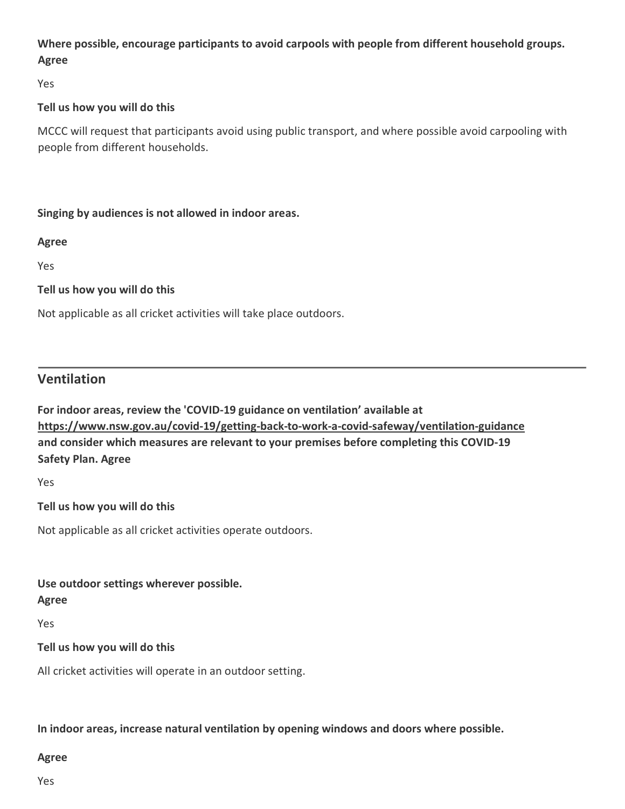## **Where possible, encourage participants to avoid carpools with people from different household groups. Agree**

Yes

## **Tell us how you will do this**

MCCC will request that participants avoid using public transport, and where possible avoid carpooling with people from different households.

## **Singing by audiences is not allowed in indoor areas.**

#### **Agree**

Yes

## **Tell us how you will do this**

Not applicable as all cricket activities will take place outdoors.

## **Ventilation**

**For indoor areas, review the 'COVID-19 guidance on ventilation' available at [https://www.nsw.gov.au/covid-19/getting-back-to-work-a-covid-safeway/ventilation-guidance](https://www.nsw.gov.au/covid-19/getting-back-to-work-a-covid-safe-way/ventilation-guidance) and consider which measures are relevant to your premises before completing this COVID-19 Safety Plan. Agree**

Yes

## **Tell us how you will do this**

Not applicable as all cricket activities operate outdoors.

#### **Use outdoor settings wherever possible.**

#### **Agree**

Yes

## **Tell us how you will do this**

All cricket activities will operate in an outdoor setting.

**In indoor areas, increase natural ventilation by opening windows and doors where possible.**

#### **Agree**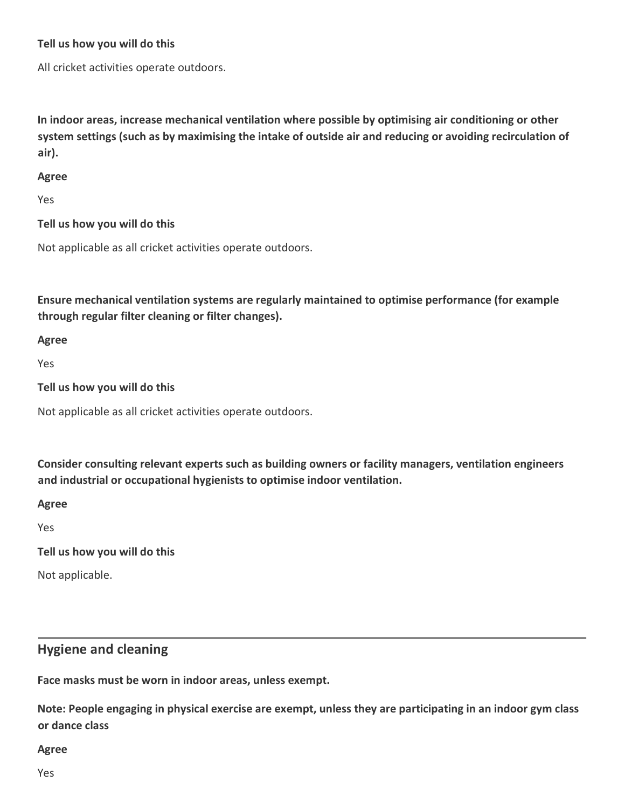All cricket activities operate outdoors.

**In indoor areas, increase mechanical ventilation where possible by optimising air conditioning or other system settings (such as by maximising the intake of outside air and reducing or avoiding recirculation of air).** 

#### **Agree**

Yes

**Tell us how you will do this**

Not applicable as all cricket activities operate outdoors.

**Ensure mechanical ventilation systems are regularly maintained to optimise performance (for example through regular filter cleaning or filter changes).** 

**Agree**

Yes

**Tell us how you will do this**

Not applicable as all cricket activities operate outdoors.

**Consider consulting relevant experts such as building owners or facility managers, ventilation engineers and industrial or occupational hygienists to optimise indoor ventilation.** 

**Agree**

Yes

**Tell us how you will do this**

Not applicable.

## **Hygiene and cleaning**

**Face masks must be worn in indoor areas, unless exempt.** 

**Note: People engaging in physical exercise are exempt, unless they are participating in an indoor gym class or dance class** 

#### **Agree**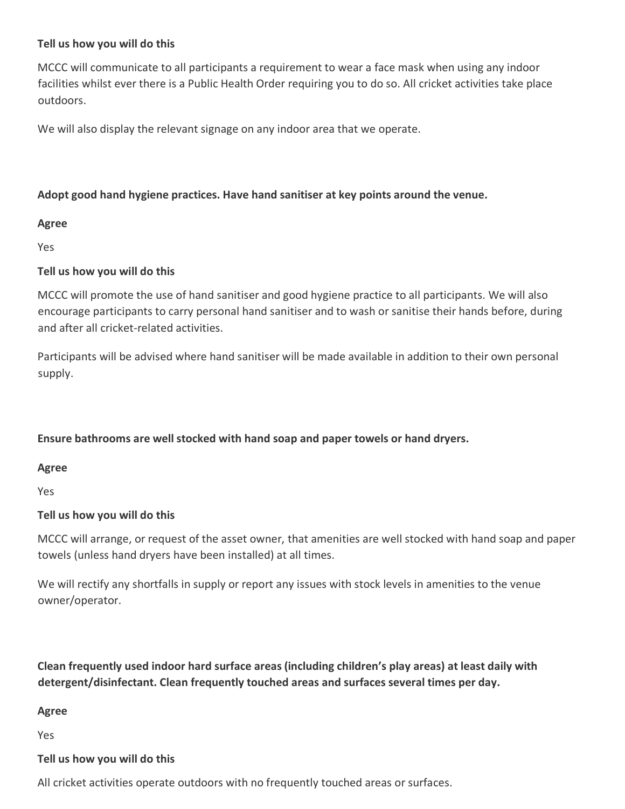MCCC will communicate to all participants a requirement to wear a face mask when using any indoor facilities whilst ever there is a Public Health Order requiring you to do so. All cricket activities take place outdoors.

We will also display the relevant signage on any indoor area that we operate.

#### **Adopt good hand hygiene practices. Have hand sanitiser at key points around the venue.**

#### **Agree**

Yes

#### **Tell us how you will do this**

MCCC will promote the use of hand sanitiser and good hygiene practice to all participants. We will also encourage participants to carry personal hand sanitiser and to wash or sanitise their hands before, during and after all cricket-related activities.

Participants will be advised where hand sanitiser will be made available in addition to their own personal supply.

## **Ensure bathrooms are well stocked with hand soap and paper towels or hand dryers.**

**Agree**

Yes

#### **Tell us how you will do this**

MCCC will arrange, or request of the asset owner, that amenities are well stocked with hand soap and paper towels (unless hand dryers have been installed) at all times.

We will rectify any shortfalls in supply or report any issues with stock levels in amenities to the venue owner/operator.

**Clean frequently used indoor hard surface areas (including children's play areas) at least daily with detergent/disinfectant. Clean frequently touched areas and surfaces several times per day.**

#### **Agree**

Yes

#### **Tell us how you will do this**

All cricket activities operate outdoors with no frequently touched areas or surfaces.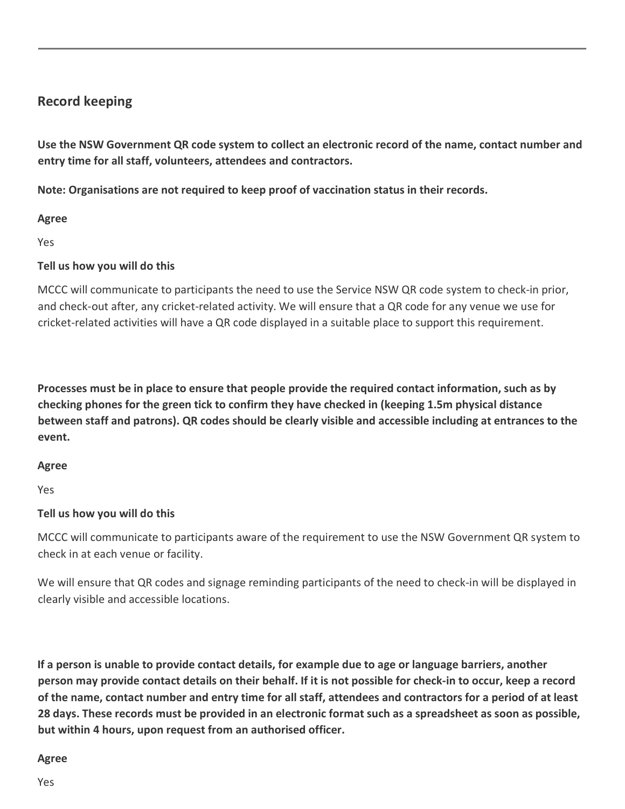## **Record keeping**

**Use the NSW Government QR code system to collect an electronic record of the name, contact number and entry time for all staff, volunteers, attendees and contractors.**

**Note: Organisations are not required to keep proof of vaccination status in their records.**

## **Agree**

Yes

## **Tell us how you will do this**

MCCC will communicate to participants the need to use the Service NSW QR code system to check-in prior, and check-out after, any cricket-related activity. We will ensure that a QR code for any venue we use for cricket-related activities will have a QR code displayed in a suitable place to support this requirement.

**Processes must be in place to ensure that people provide the required contact information, such as by checking phones for the green tick to confirm they have checked in (keeping 1.5m physical distance between staff and patrons). QR codes should be clearly visible and accessible including at entrances to the event.**

## **Agree**

Yes

## **Tell us how you will do this**

MCCC will communicate to participants aware of the requirement to use the NSW Government QR system to check in at each venue or facility.

We will ensure that QR codes and signage reminding participants of the need to check-in will be displayed in clearly visible and accessible locations.

**If a person is unable to provide contact details, for example due to age or language barriers, another person may provide contact details on their behalf. If it is not possible for check-in to occur, keep a record of the name, contact number and entry time for all staff, attendees and contractors for a period of at least 28 days. These records must be provided in an electronic format such as a spreadsheet as soon as possible, but within 4 hours, upon request from an authorised officer.** 

#### **Agree**